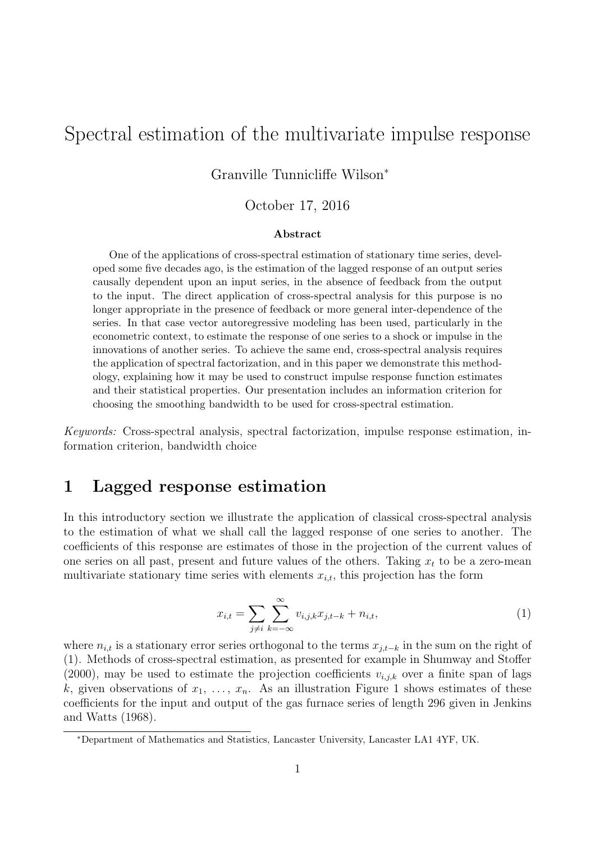# Spectral estimation of the multivariate impulse response

#### Granville Tunnicliffe Wilson<sup>∗</sup>

#### October 17, 2016

#### Abstract

One of the applications of cross-spectral estimation of stationary time series, developed some five decades ago, is the estimation of the lagged response of an output series causally dependent upon an input series, in the absence of feedback from the output to the input. The direct application of cross-spectral analysis for this purpose is no longer appropriate in the presence of feedback or more general inter-dependence of the series. In that case vector autoregressive modeling has been used, particularly in the econometric context, to estimate the response of one series to a shock or impulse in the innovations of another series. To achieve the same end, cross-spectral analysis requires the application of spectral factorization, and in this paper we demonstrate this methodology, explaining how it may be used to construct impulse response function estimates and their statistical properties. Our presentation includes an information criterion for choosing the smoothing bandwidth to be used for cross-spectral estimation.

*Keywords:* Cross-spectral analysis, spectral factorization, impulse response estimation, information criterion, bandwidth choice

### 1 Lagged response estimation

In this introductory section we illustrate the application of classical cross-spectral analysis to the estimation of what we shall call the lagged response of one series to another. The coefficients of this response are estimates of those in the projection of the current values of one series on all past, present and future values of the others. Taking  $x_t$  to be a zero-mean multivariate stationary time series with elements  $x_{i,t}$ , this projection has the form

$$
x_{i,t} = \sum_{j \neq i} \sum_{k=-\infty}^{\infty} v_{i,j,k} x_{j,t-k} + n_{i,t},
$$
\n(1)

where  $n_{i,t}$  is a stationary error series orthogonal to the terms  $x_{j,t-k}$  in the sum on the right of (1). Methods of cross-spectral estimation, as presented for example in Shumway and Stoffer (2000), may be used to estimate the projection coefficients  $v_{i,j,k}$  over a finite span of lags k, given observations of  $x_1, \ldots, x_n$ . As an illustration Figure 1 shows estimates of these coefficients for the input and output of the gas furnace series of length 296 given in Jenkins and Watts (1968).

<sup>∗</sup>Department of Mathematics and Statistics, Lancaster University, Lancaster LA1 4YF, UK.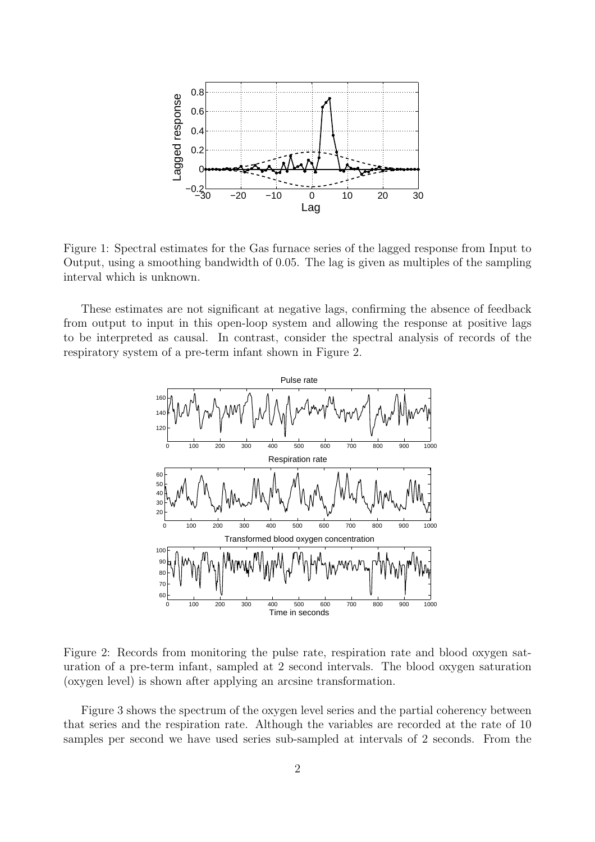

Figure 1: Spectral estimates for the Gas furnace series of the lagged response from Input to Output, using a smoothing bandwidth of 0.05. The lag is given as multiples of the sampling interval which is unknown.

These estimates are not significant at negative lags, confirming the absence of feedback from output to input in this open-loop system and allowing the response at positive lags to be interpreted as causal. In contrast, consider the spectral analysis of records of the respiratory system of a pre-term infant shown in Figure 2.



Figure 2: Records from monitoring the pulse rate, respiration rate and blood oxygen saturation of a pre-term infant, sampled at 2 second intervals. The blood oxygen saturation (oxygen level) is shown after applying an arcsine transformation.

Figure 3 shows the spectrum of the oxygen level series and the partial coherency between that series and the respiration rate. Although the variables are recorded at the rate of 10 samples per second we have used series sub-sampled at intervals of 2 seconds. From the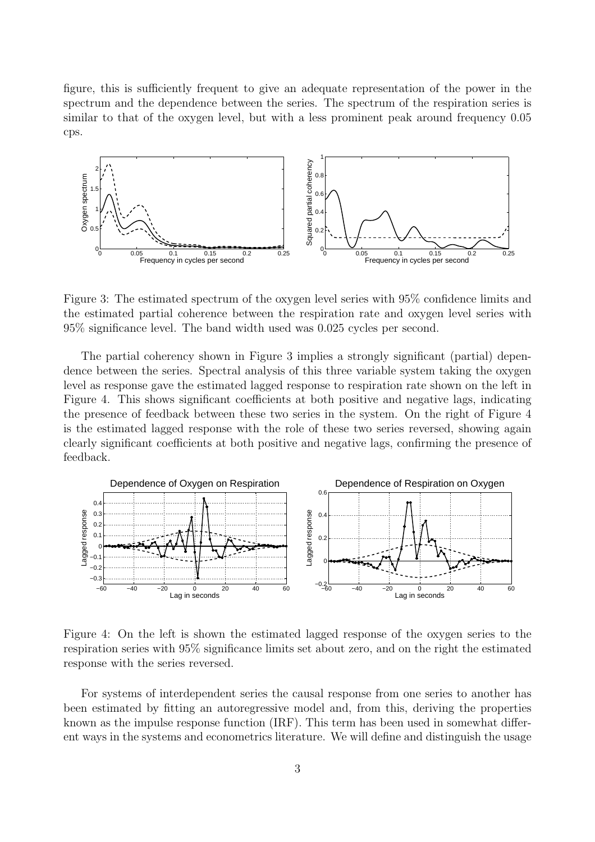figure, this is sufficiently frequent to give an adequate representation of the power in the spectrum and the dependence between the series. The spectrum of the respiration series is similar to that of the oxygen level, but with a less prominent peak around frequency 0.05 cps.



Figure 3: The estimated spectrum of the oxygen level series with 95% confidence limits and the estimated partial coherence between the respiration rate and oxygen level series with 95% significance level. The band width used was 0.025 cycles per second.

The partial coherency shown in Figure 3 implies a strongly significant (partial) dependence between the series. Spectral analysis of this three variable system taking the oxygen level as response gave the estimated lagged response to respiration rate shown on the left in Figure 4. This shows significant coefficients at both positive and negative lags, indicating the presence of feedback between these two series in the system. On the right of Figure 4 is the estimated lagged response with the role of these two series reversed, showing again clearly significant coefficients at both positive and negative lags, confirming the presence of feedback.



Figure 4: On the left is shown the estimated lagged response of the oxygen series to the respiration series with 95% significance limits set about zero, and on the right the estimated response with the series reversed.

For systems of interdependent series the causal response from one series to another has been estimated by fitting an autoregressive model and, from this, deriving the properties known as the impulse response function (IRF). This term has been used in somewhat different ways in the systems and econometrics literature. We will define and distinguish the usage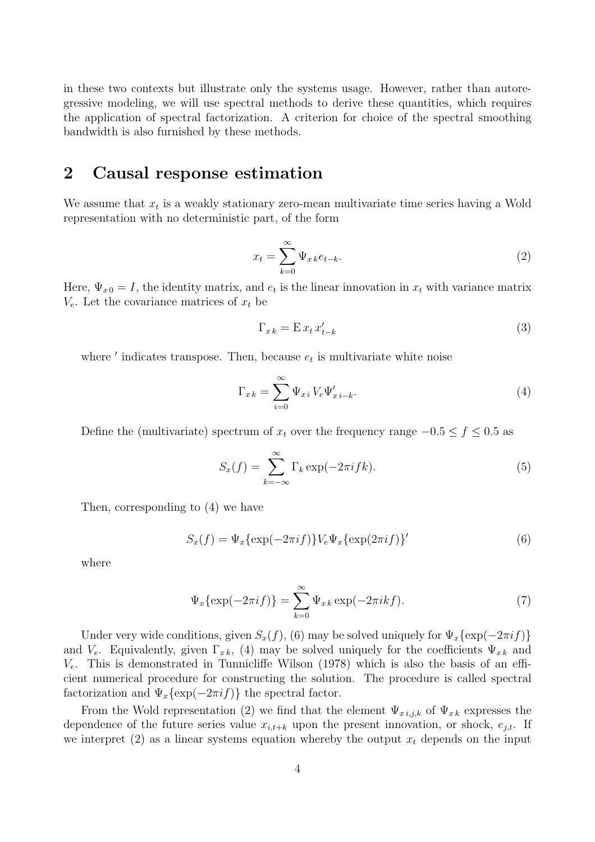in these two contexts but illustrate only the systems usage. However, rather than autoregressive modeling, we will use spectral methods to derive these quantities, which requires the application of spectral factorization. A criterion for choice of the spectral smoothing bandwidth is also furnished by these methods.

## 2 Causal response estimation

We assume that  $x_t$  is a weakly stationary zero-mean multivariate time series having a Wold representation with no deterministic part, of the form

$$
x_t = \sum_{k=0}^{\infty} \Psi_{x \, k} e_{t-k}.
$$
 (2)

Here,  $\Psi_{x0} = I$ , the identity matrix, and  $e_t$  is the linear innovation in  $x_t$  with variance matrix  $V_e$ . Let the covariance matrices of  $x_t$  be

$$
\Gamma_{x\,k} = \mathcal{E}\,x_t\,x'_{t-k} \tag{3}
$$

where  $'$  indicates transpose. Then, because  $e_t$  is multivariate white noise

$$
\Gamma_{x k} = \sum_{i=0}^{\infty} \Psi_{x i} V_e \Psi'_{x i-k}.
$$
\n(4)

Define the (multivariate) spectrum of  $x_t$  over the frequency range  $-0.5 \le f \le 0.5$  as

$$
S_x(f) = \sum_{k=-\infty}^{\infty} \Gamma_k \exp(-2\pi i f k).
$$
 (5)

Then, corresponding to (4) we have

$$
S_x(f) = \Psi_x \{ \exp(-2\pi i f) \} V_e \Psi_x \{ \exp(2\pi i f) \}' \tag{6}
$$

where

$$
\Psi_x\{\exp(-2\pi i f)\} = \sum_{k=0}^{\infty} \Psi_{xk} \exp(-2\pi i k f). \tag{7}
$$

Under very wide conditions, given  $S_x(f)$ , (6) may be solved uniquely for  $\Psi_x{\exp(-2\pi i f)}$ and  $V_e$ . Equivalently, given  $\Gamma_{x,k}$ , (4) may be solved uniquely for the coefficients  $\Psi_{x,k}$  and  $V_e$ . This is demonstrated in Tunnicliffe Wilson (1978) which is also the basis of an efficient numerical procedure for constructing the solution. The procedure is called spectral factorization and  $\Psi_x{\exp(-2\pi i f)}$  the spectral factor.

From the Wold representation (2) we find that the element  $\Psi_{x,i,j,k}$  of  $\Psi_{x,k}$  expresses the dependence of the future series value  $x_{i,t+k}$  upon the present innovation, or shock,  $e_{j,t}$ . If we interpret (2) as a linear systems equation whereby the output  $x_t$  depends on the input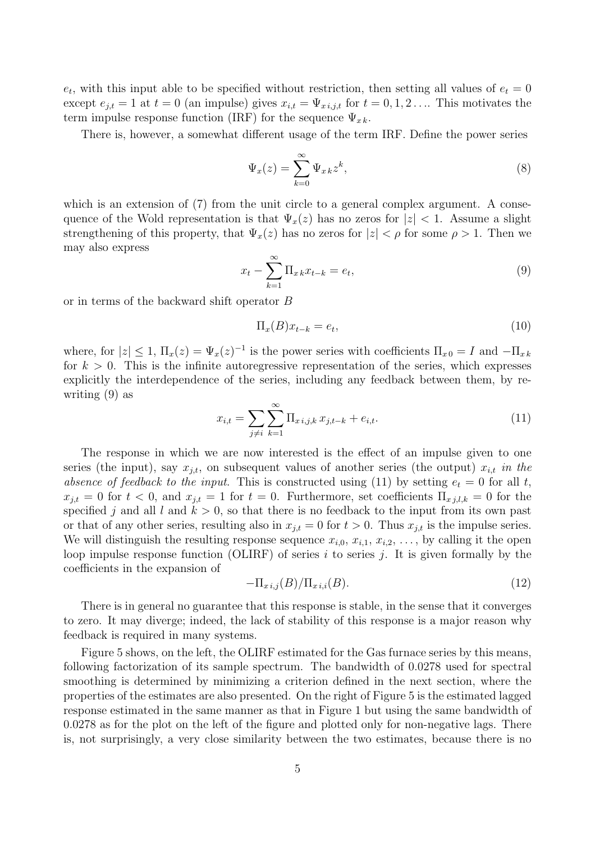$e_t$ , with this input able to be specified without restriction, then setting all values of  $e_t = 0$ except  $e_{j,t} = 1$  at  $t = 0$  (an impulse) gives  $x_{i,t} = \Psi_{x,i,j,t}$  for  $t = 0, 1, 2, \ldots$  This motivates the term impulse response function (IRF) for the sequence  $\Psi_{x_k}$ .

There is, however, a somewhat different usage of the term IRF. Define the power series

$$
\Psi_x(z) = \sum_{k=0}^{\infty} \Psi_{x k} z^k,
$$
\n(8)

which is an extension of (7) from the unit circle to a general complex argument. A consequence of the Wold representation is that  $\Psi_x(z)$  has no zeros for  $|z| < 1$ . Assume a slight strengthening of this property, that  $\Psi_x(z)$  has no zeros for  $|z| < \rho$  for some  $\rho > 1$ . Then we may also express

$$
x_t - \sum_{k=1}^{\infty} \Pi_{x_k} x_{t-k} = e_t,
$$
\n
$$
(9)
$$

or in terms of the backward shift operator B

$$
\Pi_x(B)x_{t-k} = e_t,\tag{10}
$$

where, for  $|z| \leq 1$ ,  $\Pi_x(z) = \Psi_x(z)^{-1}$  is the power series with coefficients  $\Pi_{x,0} = I$  and  $-\Pi_{x,k}$ for  $k > 0$ . This is the infinite autoregressive representation of the series, which expresses explicitly the interdependence of the series, including any feedback between them, by rewriting (9) as

$$
x_{i,t} = \sum_{j \neq i} \sum_{k=1}^{\infty} \prod_{x} x_{i,j,k} x_{j,t-k} + e_{i,t}.
$$
 (11)

The response in which we are now interested is the effect of an impulse given to one series (the input), say  $x_{i,t}$ , on subsequent values of another series (the output)  $x_{i,t}$  in the *absence of feedback to the input.* This is constructed using (11) by setting  $e_t = 0$  for all t,  $x_{j,t} = 0$  for  $t < 0$ , and  $x_{j,t} = 1$  for  $t = 0$ . Furthermore, set coefficients  $\Pi_{x,j,l,k} = 0$  for the specified j and all l and  $k > 0$ , so that there is no feedback to the input from its own past or that of any other series, resulting also in  $x_{j,t} = 0$  for  $t > 0$ . Thus  $x_{j,t}$  is the impulse series. We will distinguish the resulting response sequence  $x_{i,0}, x_{i,1}, x_{i,2}, \ldots$ , by calling it the open loop impulse response function (OLIRF) of series i to series j. It is given formally by the coefficients in the expansion of

$$
-\Pi_{x\,i,j}(B)/\Pi_{x\,i,i}(B). \tag{12}
$$

There is in general no guarantee that this response is stable, in the sense that it converges to zero. It may diverge; indeed, the lack of stability of this response is a major reason why feedback is required in many systems.

Figure 5 shows, on the left, the OLIRF estimated for the Gas furnace series by this means, following factorization of its sample spectrum. The bandwidth of 0.0278 used for spectral smoothing is determined by minimizing a criterion defined in the next section, where the properties of the estimates are also presented. On the right of Figure 5 is the estimated lagged response estimated in the same manner as that in Figure 1 but using the same bandwidth of 0.0278 as for the plot on the left of the figure and plotted only for non-negative lags. There is, not surprisingly, a very close similarity between the two estimates, because there is no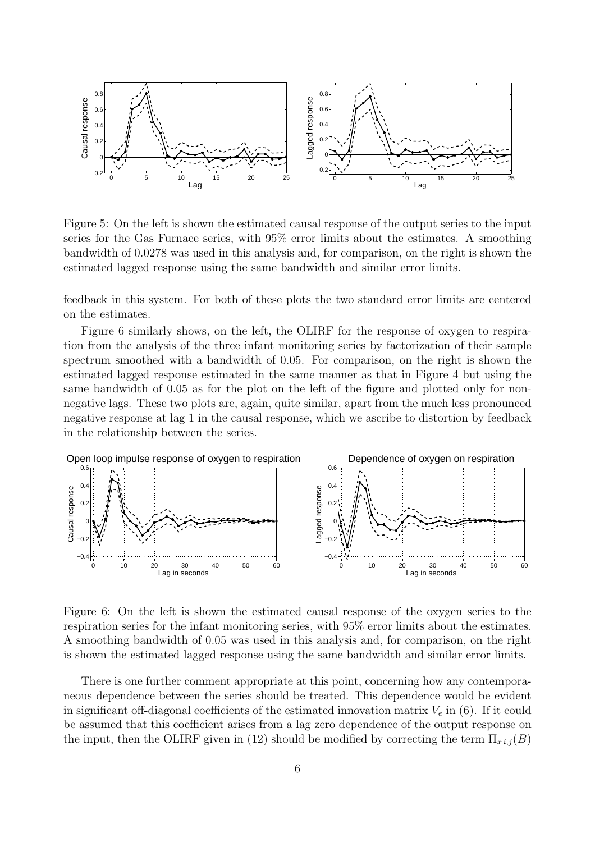

Figure 5: On the left is shown the estimated causal response of the output series to the input series for the Gas Furnace series, with 95% error limits about the estimates. A smoothing bandwidth of 0.0278 was used in this analysis and, for comparison, on the right is shown the estimated lagged response using the same bandwidth and similar error limits.

feedback in this system. For both of these plots the two standard error limits are centered on the estimates.

Figure 6 similarly shows, on the left, the OLIRF for the response of oxygen to respiration from the analysis of the three infant monitoring series by factorization of their sample spectrum smoothed with a bandwidth of 0.05. For comparison, on the right is shown the estimated lagged response estimated in the same manner as that in Figure 4 but using the same bandwidth of 0.05 as for the plot on the left of the figure and plotted only for nonnegative lags. These two plots are, again, quite similar, apart from the much less pronounced negative response at lag 1 in the causal response, which we ascribe to distortion by feedback in the relationship between the series.



Figure 6: On the left is shown the estimated causal response of the oxygen series to the respiration series for the infant monitoring series, with 95% error limits about the estimates. A smoothing bandwidth of 0.05 was used in this analysis and, for comparison, on the right is shown the estimated lagged response using the same bandwidth and similar error limits.

There is one further comment appropriate at this point, concerning how any contemporaneous dependence between the series should be treated. This dependence would be evident in significant off-diagonal coefficients of the estimated innovation matrix  $V_e$  in (6). If it could be assumed that this coefficient arises from a lag zero dependence of the output response on the input, then the OLIRF given in (12) should be modified by correcting the term  $\Pi_{x i,j}(B)$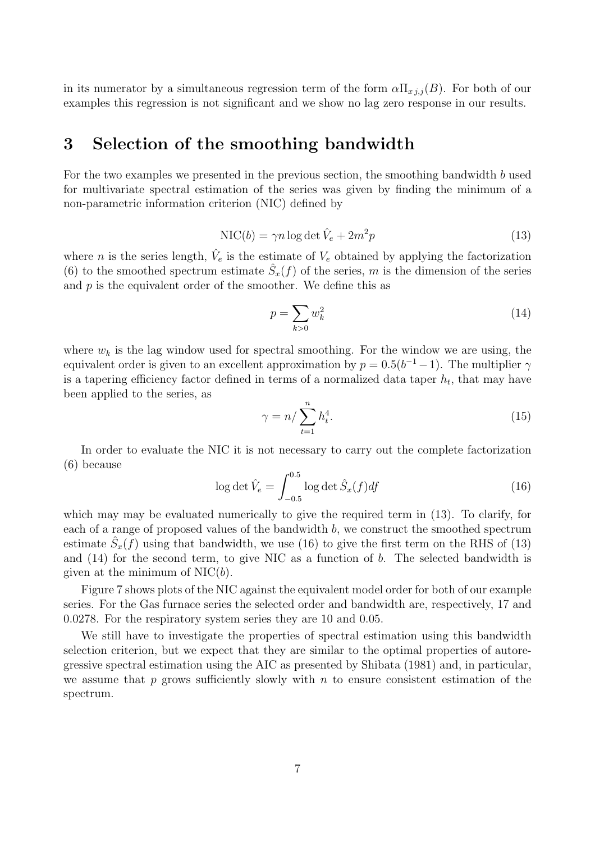in its numerator by a simultaneous regression term of the form  $\alpha \Pi_{x,i,j}(B)$ . For both of our examples this regression is not significant and we show no lag zero response in our results.

#### 3 Selection of the smoothing bandwidth

For the two examples we presented in the previous section, the smoothing bandwidth  $b$  used for multivariate spectral estimation of the series was given by finding the minimum of a non-parametric information criterion (NIC) defined by

$$
NIC(b) = \gamma n \log \det \hat{V}_e + 2m^2 p \tag{13}
$$

where *n* is the series length,  $\hat{V}_e$  is the estimate of  $V_e$  obtained by applying the factorization (6) to the smoothed spectrum estimate  $\hat{S}_x(f)$  of the series, m is the dimension of the series and  $p$  is the equivalent order of the smoother. We define this as

$$
p = \sum_{k>0} w_k^2 \tag{14}
$$

where  $w_k$  is the lag window used for spectral smoothing. For the window we are using, the equivalent order is given to an excellent approximation by  $p = 0.5(b^{-1} - 1)$ . The multiplier  $\gamma$ is a tapering efficiency factor defined in terms of a normalized data taper  $h_t$ , that may have been applied to the series, as

$$
\gamma = n / \sum_{t=1}^{n} h_t^4.
$$
\n(15)

In order to evaluate the NIC it is not necessary to carry out the complete factorization (6) because

$$
\log \det \hat{V}_e = \int_{-0.5}^{0.5} \log \det \hat{S}_x(f) df \tag{16}
$$

which may may be evaluated numerically to give the required term in (13). To clarify, for each of a range of proposed values of the bandwidth b, we construct the smoothed spectrum estimate  $\hat{S}_x(f)$  using that bandwidth, we use (16) to give the first term on the RHS of (13) and  $(14)$  for the second term, to give NIC as a function of b. The selected bandwidth is given at the minimum of  $NIC(b)$ .

Figure 7 shows plots of the NIC against the equivalent model order for both of our example series. For the Gas furnace series the selected order and bandwidth are, respectively, 17 and 0.0278. For the respiratory system series they are 10 and 0.05.

We still have to investigate the properties of spectral estimation using this bandwidth selection criterion, but we expect that they are similar to the optimal properties of autoregressive spectral estimation using the AIC as presented by Shibata (1981) and, in particular, we assume that  $p$  grows sufficiently slowly with  $n$  to ensure consistent estimation of the spectrum.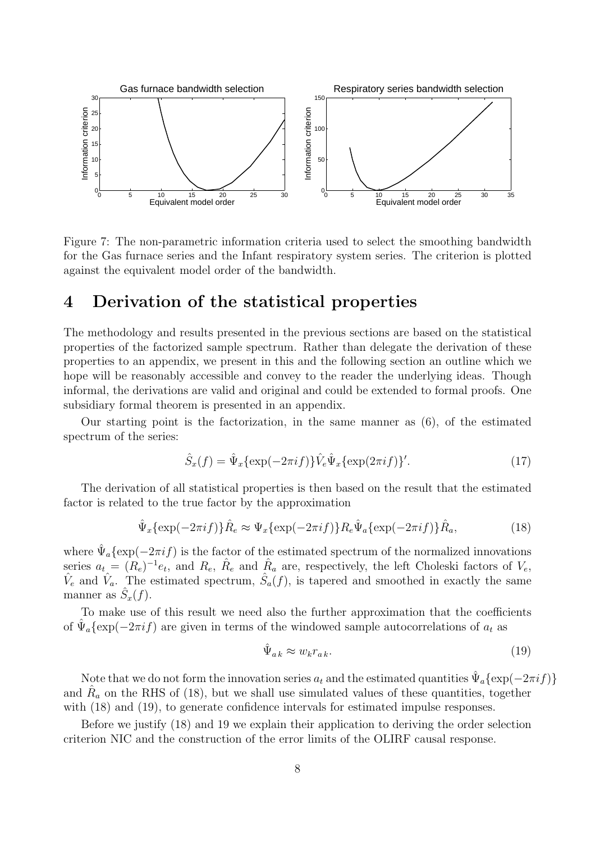

Figure 7: The non-parametric information criteria used to select the smoothing bandwidth for the Gas furnace series and the Infant respiratory system series. The criterion is plotted against the equivalent model order of the bandwidth.

#### 4 Derivation of the statistical properties

The methodology and results presented in the previous sections are based on the statistical properties of the factorized sample spectrum. Rather than delegate the derivation of these properties to an appendix, we present in this and the following section an outline which we hope will be reasonably accessible and convey to the reader the underlying ideas. Though informal, the derivations are valid and original and could be extended to formal proofs. One subsidiary formal theorem is presented in an appendix.

Our starting point is the factorization, in the same manner as (6), of the estimated spectrum of the series:

$$
\hat{S}_x(f) = \hat{\Psi}_x \{ \exp(-2\pi i f) \} \hat{V}_e \hat{\Psi}_x \{ \exp(2\pi i f) \}'.
$$
\n(17)

The derivation of all statistical properties is then based on the result that the estimated factor is related to the true factor by the approximation

$$
\hat{\Psi}_x\{\exp(-2\pi i f)\}\hat{R}_e \approx \Psi_x\{\exp(-2\pi i f)\}R_e\hat{\Psi}_a\{\exp(-2\pi i f)\}\hat{R}_a,\tag{18}
$$

where  $\hat{\Psi}_a{\exp(-2\pi i f)}$  is the factor of the estimated spectrum of the normalized innovations series  $a_t = (R_e)^{-1}e_t$ , and  $R_e$ ,  $\hat{R}_e$  and  $\hat{R}_a$  are, respectively, the left Choleski factors of  $V_e$ ,  $\hat{V}_e$  and  $\hat{V}_a$ . The estimated spectrum,  $\hat{S}_a(f)$ , is tapered and smoothed in exactly the same manner as  $\hat{S}_x(f)$ .

To make use of this result we need also the further approximation that the coefficients of  $\hat{\Psi}_a{\exp(-2\pi i f)}$  are given in terms of the windowed sample autocorrelations of  $a_t$  as

$$
\hat{\Psi}_{ak} \approx w_k r_{ak}.\tag{19}
$$

Note that we do not form the innovation series  $a_t$  and the estimated quantities  $\hat{\Psi}_a{\exp(-2\pi i f)}$ and  $\hat{R}_a$  on the RHS of (18), but we shall use simulated values of these quantities, together with  $(18)$  and  $(19)$ , to generate confidence intervals for estimated impulse responses.

Before we justify (18) and 19 we explain their application to deriving the order selection criterion NIC and the construction of the error limits of the OLIRF causal response.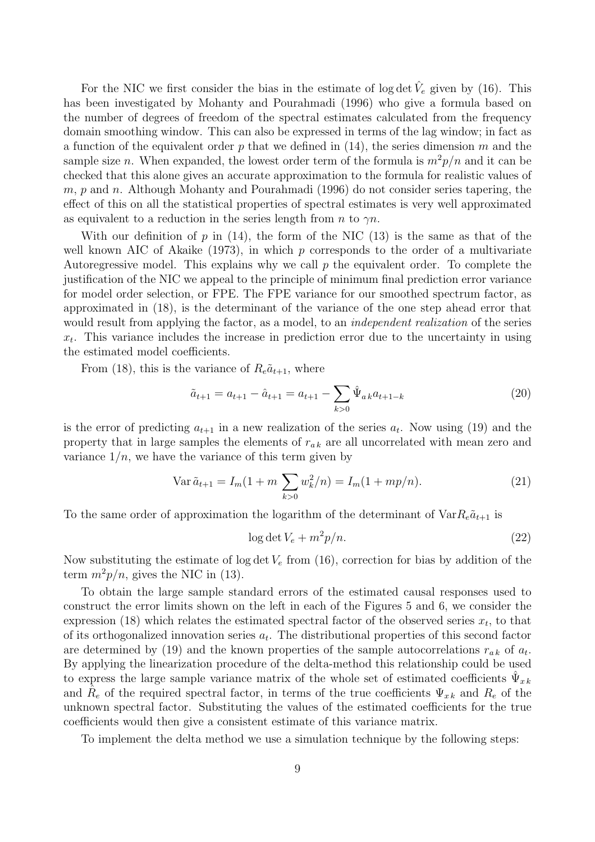For the NIC we first consider the bias in the estimate of log det  $\hat{V}_e$  given by (16). This has been investigated by Mohanty and Pourahmadi (1996) who give a formula based on the number of degrees of freedom of the spectral estimates calculated from the frequency domain smoothing window. This can also be expressed in terms of the lag window; in fact as a function of the equivalent order p that we defined in  $(14)$ , the series dimension m and the sample size n. When expanded, the lowest order term of the formula is  $m^2p/n$  and it can be checked that this alone gives an accurate approximation to the formula for realistic values of  $m, p$  and n. Although Mohanty and Pourahmadi (1996) do not consider series tapering, the effect of this on all the statistical properties of spectral estimates is very well approximated as equivalent to a reduction in the series length from n to  $\gamma n$ .

With our definition of  $p$  in (14), the form of the NIC (13) is the same as that of the well known AIC of Akaike (1973), in which  $p$  corresponds to the order of a multivariate Autoregressive model. This explains why we call  $p$  the equivalent order. To complete the justification of the NIC we appeal to the principle of minimum final prediction error variance for model order selection, or FPE. The FPE variance for our smoothed spectrum factor, as approximated in (18), is the determinant of the variance of the one step ahead error that would result from applying the factor, as a model, to an *independent realization* of the series  $x_t$ . This variance includes the increase in prediction error due to the uncertainty in using the estimated model coefficients.

From (18), this is the variance of  $R_e\tilde{a}_{t+1}$ , where

$$
\tilde{a}_{t+1} = a_{t+1} - \hat{a}_{t+1} = a_{t+1} - \sum_{k>0} \hat{\Psi}_{ak} a_{t+1-k}
$$
\n(20)

is the error of predicting  $a_{t+1}$  in a new realization of the series  $a_t$ . Now using (19) and the property that in large samples the elements of  $r_{ak}$  are all uncorrelated with mean zero and variance  $1/n$ , we have the variance of this term given by

$$
\text{Var}\,\tilde{a}_{t+1} = I_m(1+m\sum_{k>0} w_k^2/n) = I_m(1+mp/n). \tag{21}
$$

To the same order of approximation the logarithm of the determinant of  $Var R_e \tilde{a}_{t+1}$  is

$$
\log \det V_e + m^2 p/n. \tag{22}
$$

Now substituting the estimate of log det  $V_e$  from (16), correction for bias by addition of the term  $m^2p/n$ , gives the NIC in (13).

To obtain the large sample standard errors of the estimated causal responses used to construct the error limits shown on the left in each of the Figures 5 and 6, we consider the expression (18) which relates the estimated spectral factor of the observed series  $x_t$ , to that of its orthogonalized innovation series  $a_t$ . The distributional properties of this second factor are determined by (19) and the known properties of the sample autocorrelations  $r_{ak}$  of  $a_t$ . By applying the linearization procedure of the delta-method this relationship could be used to express the large sample variance matrix of the whole set of estimated coefficients  $\hat{\Psi}_{x k}$ and  $\hat{R}_e$  of the required spectral factor, in terms of the true coefficients  $\Psi_{x k}$  and  $R_e$  of the unknown spectral factor. Substituting the values of the estimated coefficients for the true coefficients would then give a consistent estimate of this variance matrix.

To implement the delta method we use a simulation technique by the following steps: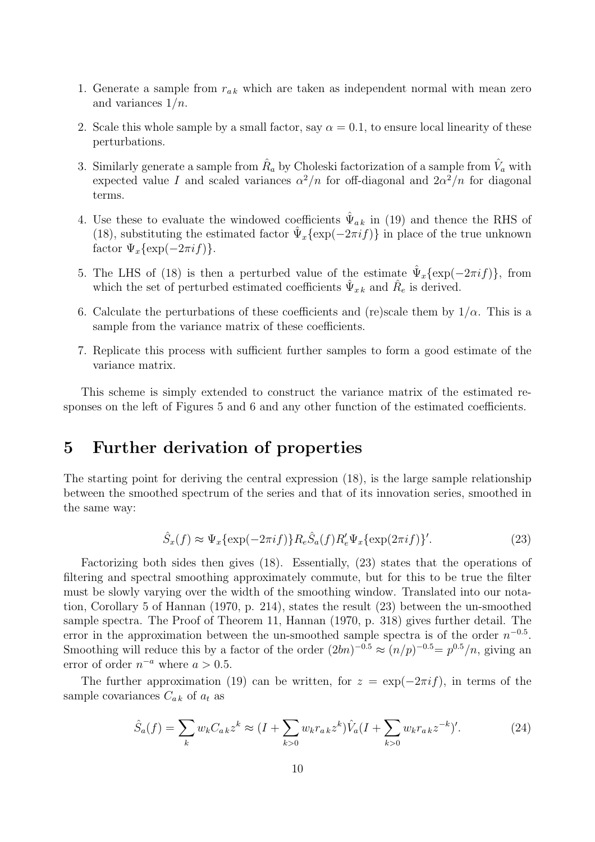- 1. Generate a sample from  $r_{ak}$  which are taken as independent normal with mean zero and variances  $1/n$ .
- 2. Scale this whole sample by a small factor, say  $\alpha = 0.1$ , to ensure local linearity of these perturbations.
- 3. Similarly generate a sample from  $\hat{R}_a$  by Choleski factorization of a sample from  $\hat{V}_a$  with expected value I and scaled variances  $\alpha^2/n$  for off-diagonal and  $2\alpha^2/n$  for diagonal terms.
- 4. Use these to evaluate the windowed coefficients  $\hat{\Psi}_{ak}$  in (19) and thence the RHS of (18), substituting the estimated factor  $\hat{\Psi}_x{\exp(-2\pi i f)}$  in place of the true unknown factor  $\Psi_x {\exp(-2\pi i f)}$ .
- 5. The LHS of (18) is then a perturbed value of the estimate  $\hat{\Psi}_x {\exp(-2\pi i f)}$ , from which the set of perturbed estimated coefficients  $\hat{\Psi}_{x k}$  and  $\hat{R}_e$  is derived.
- 6. Calculate the perturbations of these coefficients and (re)scale them by  $1/\alpha$ . This is a sample from the variance matrix of these coefficients.
- 7. Replicate this process with sufficient further samples to form a good estimate of the variance matrix.

This scheme is simply extended to construct the variance matrix of the estimated responses on the left of Figures 5 and 6 and any other function of the estimated coefficients.

### 5 Further derivation of properties

The starting point for deriving the central expression (18), is the large sample relationship between the smoothed spectrum of the series and that of its innovation series, smoothed in the same way:

$$
\hat{S}_x(f) \approx \Psi_x \{ \exp(-2\pi i f) \} R_e \hat{S}_a(f) R_e' \Psi_x \{ \exp(2\pi i f) \}'.
$$
\n(23)

Factorizing both sides then gives (18). Essentially, (23) states that the operations of filtering and spectral smoothing approximately commute, but for this to be true the filter must be slowly varying over the width of the smoothing window. Translated into our notation, Corollary 5 of Hannan (1970, p. 214), states the result (23) between the un-smoothed sample spectra. The Proof of Theorem 11, Hannan (1970, p. 318) gives further detail. The error in the approximation between the un-smoothed sample spectra is of the order  $n^{-0.5}$ . Smoothing will reduce this by a factor of the order  $(2bn)^{-0.5} \approx (n/p)^{-0.5} = p^{0.5}/n$ , giving an error of order  $n^{-a}$  where  $a > 0.5$ .

The further approximation (19) can be written, for  $z = \exp(-2\pi i f)$ , in terms of the sample covariances  $C_{ak}$  of  $a_t$  as

$$
\hat{S}_a(f) = \sum_k w_k C_{ak} z^k \approx (I + \sum_{k>0} w_k r_{ak} z^k) \hat{V}_a (I + \sum_{k>0} w_k r_{ak} z^{-k})'. \tag{24}
$$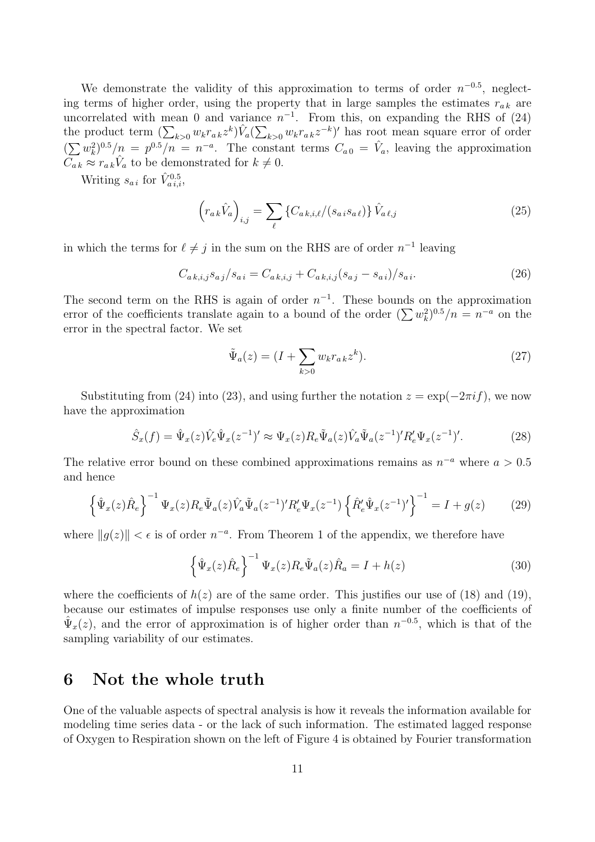We demonstrate the validity of this approximation to terms of order  $n^{-0.5}$ , neglecting terms of higher order, using the property that in large samples the estimates  $r_{ak}$  are uncorrelated with mean 0 and variance  $n^{-1}$ . From this, on expanding the RHS of (24) the product term  $(\sum_{k>0} w_k r_{a k} z^k) \hat{V}_a (\sum_{k>0} w_k r_{a k} z^{-k})'$  has root mean square error of order  $(\sum w_k^2)$  $k^{2}$ <sup>0.5</sup>/ $n = p^{0.5}/n = n^{-a}$ . The constant terms  $C_{a0} = \hat{V}_a$ , leaving the approximation  $\overline{C_{ak}} \approx r_{ak} \hat{V}_a$  to be demonstrated for  $k \neq 0$ .

Writing  $s_{a i}$  for  $\hat{V}_{a i,i}^{0.5}$ ,

$$
\left(r_{a k}\hat{V}_a\right)_{i,j} = \sum_{\ell} \left\{ C_{a k, i, \ell} / (s_{a i} s_{a \ell}) \right\} \hat{V}_{a \ell, j} \tag{25}
$$

in which the terms for  $\ell \neq j$  in the sum on the RHS are of order  $n^{-1}$  leaving

$$
C_{a\,k,i,j}s_{a\,j}/s_{a\,i} = C_{a\,k,i,j} + C_{a\,k,i,j}(s_{a\,j} - s_{a\,i})/s_{a\,i}.\tag{26}
$$

The second term on the RHS is again of order  $n^{-1}$ . These bounds on the approximation error of the coefficients translate again to a bound of the order  $(\sum w_k^2)$  $(k^{2})^{0.5}/n = n^{-a}$  on the error in the spectral factor. We set

$$
\tilde{\Psi}_a(z) = (I + \sum_{k>0} w_k r_{a,k} z^k). \tag{27}
$$

Substituting from (24) into (23), and using further the notation  $z = \exp(-2\pi i f)$ , we now have the approximation

$$
\hat{S}_x(f) = \hat{\Psi}_x(z)\hat{V}_e\hat{\Psi}_x(z^{-1})' \approx \Psi_x(z)R_e\tilde{\Psi}_a(z)\hat{V}_a\tilde{\Psi}_a(z^{-1})'R'_e\Psi_x(z^{-1})'.\tag{28}
$$

The relative error bound on these combined approximations remains as  $n^{-a}$  where  $a > 0.5$ and hence

$$
\left\{\hat{\Psi}_x(z)\hat{R}_e\right\}^{-1}\Psi_x(z)R_e\tilde{\Psi}_a(z)\hat{V}_a\tilde{\Psi}_a(z^{-1})'R'_e\Psi_x(z^{-1})\left\{\hat{R}'_e\hat{\Psi}_x(z^{-1})'\right\}^{-1} = I + g(z) \tag{29}
$$

where  $||g(z)|| < \epsilon$  is of order  $n^{-a}$ . From Theorem 1 of the appendix, we therefore have

$$
\left\{\hat{\Psi}_x(z)\hat{R}_e\right\}^{-1}\Psi_x(z)R_e\tilde{\Psi}_a(z)\hat{R}_a = I + h(z)
$$
\n(30)

where the coefficients of  $h(z)$  are of the same order. This justifies our use of (18) and (19), because our estimates of impulse responses use only a finite number of the coefficients of  $\hat{\Psi}_x(z)$ , and the error of approximation is of higher order than  $n^{-0.5}$ , which is that of the sampling variability of our estimates.

## 6 Not the whole truth

One of the valuable aspects of spectral analysis is how it reveals the information available for modeling time series data - or the lack of such information. The estimated lagged response of Oxygen to Respiration shown on the left of Figure 4 is obtained by Fourier transformation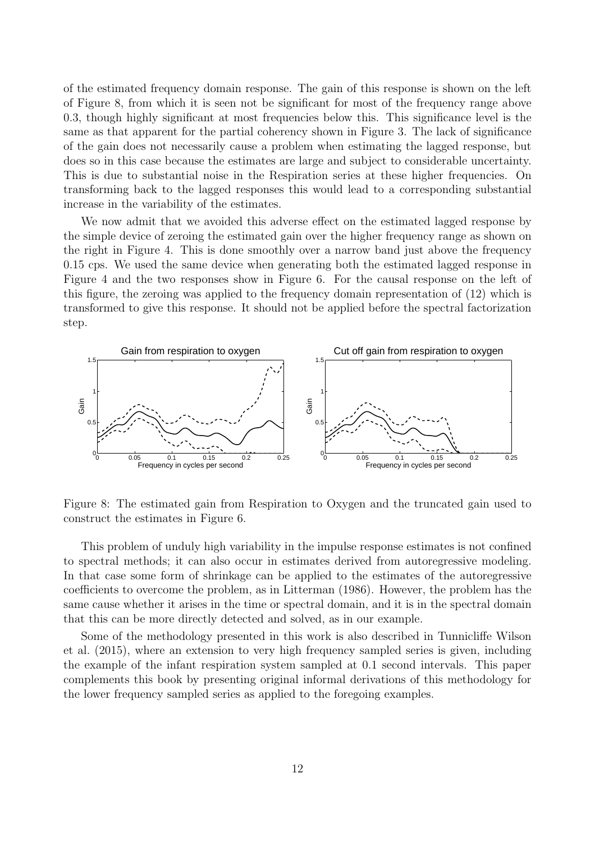of the estimated frequency domain response. The gain of this response is shown on the left of Figure 8, from which it is seen not be significant for most of the frequency range above 0.3, though highly significant at most frequencies below this. This significance level is the same as that apparent for the partial coherency shown in Figure 3. The lack of significance of the gain does not necessarily cause a problem when estimating the lagged response, but does so in this case because the estimates are large and subject to considerable uncertainty. This is due to substantial noise in the Respiration series at these higher frequencies. On transforming back to the lagged responses this would lead to a corresponding substantial increase in the variability of the estimates.

We now admit that we avoided this adverse effect on the estimated lagged response by the simple device of zeroing the estimated gain over the higher frequency range as shown on the right in Figure 4. This is done smoothly over a narrow band just above the frequency 0.15 cps. We used the same device when generating both the estimated lagged response in Figure 4 and the two responses show in Figure 6. For the causal response on the left of this figure, the zeroing was applied to the frequency domain representation of (12) which is transformed to give this response. It should not be applied before the spectral factorization step.



Figure 8: The estimated gain from Respiration to Oxygen and the truncated gain used to construct the estimates in Figure 6.

This problem of unduly high variability in the impulse response estimates is not confined to spectral methods; it can also occur in estimates derived from autoregressive modeling. In that case some form of shrinkage can be applied to the estimates of the autoregressive coefficients to overcome the problem, as in Litterman (1986). However, the problem has the same cause whether it arises in the time or spectral domain, and it is in the spectral domain that this can be more directly detected and solved, as in our example.

Some of the methodology presented in this work is also described in Tunnicliffe Wilson et al. (2015), where an extension to very high frequency sampled series is given, including the example of the infant respiration system sampled at 0.1 second intervals. This paper complements this book by presenting original informal derivations of this methodology for the lower frequency sampled series as applied to the foregoing examples.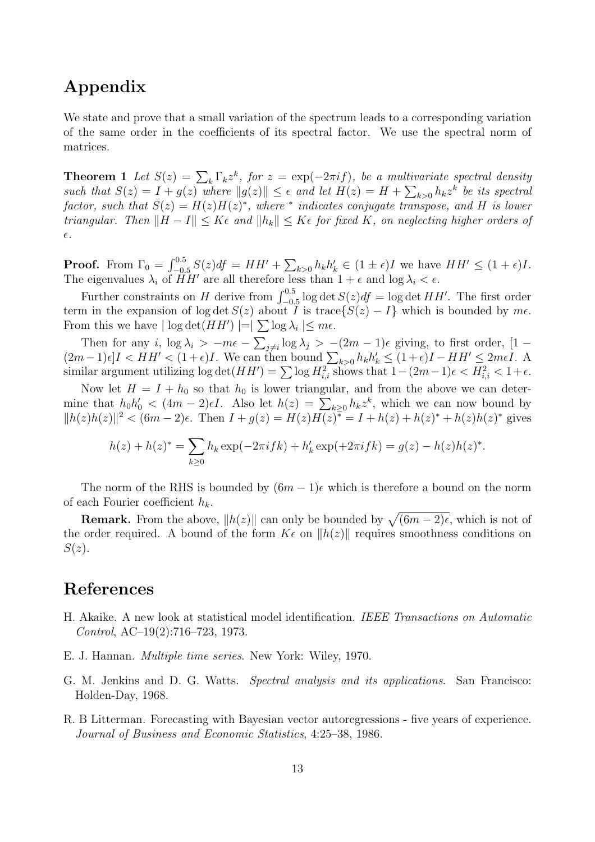# Appendix

We state and prove that a small variation of the spectrum leads to a corresponding variation of the same order in the coefficients of its spectral factor. We use the spectral norm of matrices.

**Theorem 1** Let  $S(z) = \sum_{k} \Gamma_k z^k$ , for  $z = \exp(-2\pi i f)$ , be a multivariate spectral density such that  $S(z) = I + g(z)$  where  $||g(z)|| \leq \epsilon$  and let  $H(z) = H + \sum_{k>0} h_k z^k$  be its spectral  $factor, such that S(z) = H(z)H(z)^{*}, where * indicates conjugate transpose, and H is lower$ *triangular. Then*  $||H - I|| \leq K\epsilon$  *and*  $||h_k|| \leq K\epsilon$  *for fixed* K, *on neglecting higher orders of* ǫ*.*

**Proof.** From  $\Gamma_0 = \int_{-0.5}^{0.5} S(z) df = HH' + \sum_{k>0} h_k h'_k \in (1 \pm \epsilon)I$  we have  $HH' \leq (1 + \epsilon)I$ . The eigenvalues  $\lambda_i$  of  $\ddot{H}H'$  are all therefore less than  $1+\epsilon$  and  $\log \lambda_i < \epsilon$ .

Further constraints on H derive from  $\int_{-0.5}^{0.5} \log \det S(z) df = \log \det HH'$ . The first order term in the expansion of log det  $S(z)$  about I is trace $\{S(z) - I\}$  which is bounded by  $m\epsilon$ . From this we have  $| \log \det(HH') | = | \sum \log \lambda_i | \leq m\epsilon$ .

Then for any i,  $\log \lambda_i$  >  $-m\epsilon - \sum_{j\neq i} \log \lambda_j$  >  $-(2m-1)\epsilon$  giving, to first order,  $[1-\epsilon]$  $(2m-1)\epsilon$ ] $I < HH' < (1+\epsilon)I$ . We can then bound  $\sum_{k>0} h_k h'_k \leq (1+\epsilon)I - HH' \leq 2m\epsilon I$ . A similar argument utilizing  $\log \det(HH') = \sum \log H_{i,i}^2$  shows that  $1 - (2m-1)\epsilon < H_{i,i}^2 < 1 + \epsilon$ .

Now let  $H = I + h_0$  so that  $h_0$  is lower triangular, and from the above we can determine that  $h_0 h'_0 < (4m-2)\epsilon I$ . Also let  $h(z) = \sum_{k\geq 0} h_k z^k$ , which we can now bound by  $||h(z)h(z)||^2 < (6m-2)\epsilon$ . Then  $I + g(z) = H(z)H(z)^{-\epsilon} = I + h(z) + h(z)^* + h(z)h(z)^*$  gives

$$
h(z) + h(z)^{*} = \sum_{k \ge 0} h_k \exp(-2\pi i f k) + h'_k \exp(+2\pi i f k) = g(z) - h(z)h(z)^{*}.
$$

The norm of the RHS is bounded by  $(6m - 1)\epsilon$  which is therefore a bound on the norm of each Fourier coefficient  $h_k$ .

**Remark.** From the above,  $||h(z)||$  can only be bounded by  $\sqrt{(6m-2)\epsilon}$ , which is not of the order required. A bound of the form  $K\epsilon$  on  $||h(z)||$  requires smoothness conditions on  $S(z)$ .

### References

- H. Akaike. A new look at statistical model identification. *IEEE Transactions on Automatic Control*, AC–19(2):716–723, 1973.
- E. J. Hannan. *Multiple time series*. New York: Wiley, 1970.
- G. M. Jenkins and D. G. Watts. *Spectral analysis and its applications*. San Francisco: Holden-Day, 1968.
- R. B Litterman. Forecasting with Bayesian vector autoregressions five years of experience. *Journal of Business and Economic Statistics*, 4:25–38, 1986.